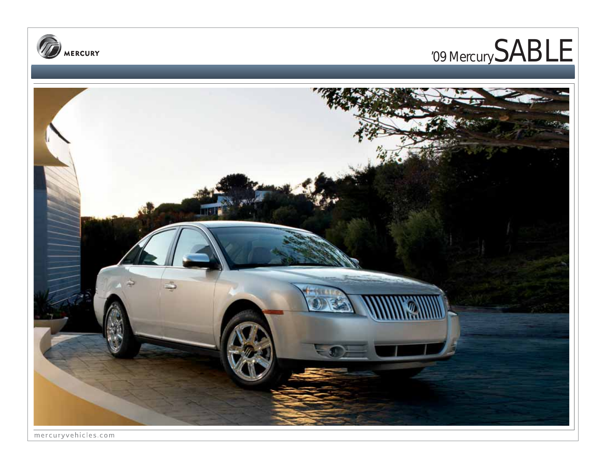





mercuryvehicles.com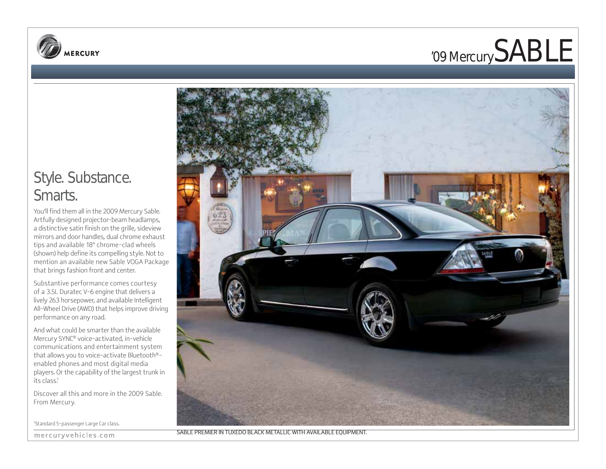



### Style. Substance. Smarts.

You'll find them all in the 2009 Mercury Sable. Artfully designed projector-beam headlamps, a distinctive satin finish on the grille, sideview mirrors and door handles, dual chrome exhaust tips and available 18" chrome-clad wheels (shown) help define its compelling style. Not to mention an available new Sable VOGA Package that brings fashion front and center.

Substantive performance comes courtesy of a 3.5L Duratec V-6 engine that delivers a lively 263 horsepower, and available Intelligent All-Wheel Drive (AWD) that helps improve driving performance on any road.

And what could be smarter than the available Mercury SYNC® voice-activated, in-vehicle communications and entertainment system that allows you to voice-activate Bluetooth® enabled phones and most digital media players. Or the capability of the largest trunk in its class.<sup>1</sup>

Discover all this and more in the 2009 Sable. From Mercury.

1 Standard 5-passenger Large Car class.





SABLE PREMIER IN TUXEDO BLACK METALLIC WITH AVAILABLE EQUIPMENT.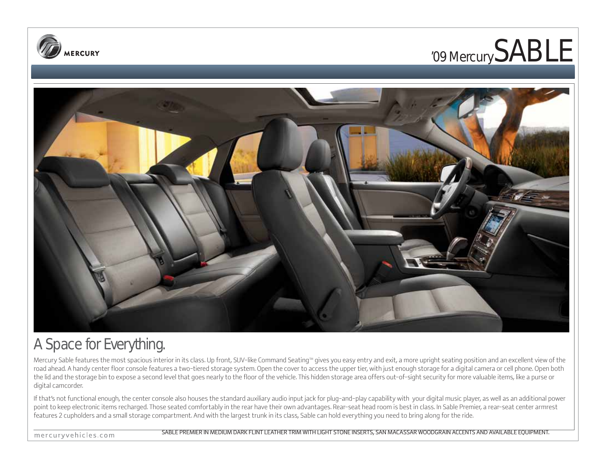





## A Space for Everything.

Mercury Sable features the most spacious interior in its class. Up front, SUV-like Command Seating<sup>M</sup> gives you easy entry and exit, a more upright seating position and an excellent view of the road ahead. A handy center floor console features a two-tiered storage system. Open the cover to access the upper tier, with just enough storage for a digital camera or cell phone. Open both the lid and the storage bin to expose a second level that goes nearly to the floor of the vehicle. This hidden storage area offers out-of-sight security for more valuable items, like a purse or digital camcorder.

If that's not functional enough, the center console also houses the standard auxiliary audio input jack for plug-and-play capability with your digital music player, as well as an additional power point to keep electronic items recharged. Those seated comfortably in the rear have their own advantages. Rear-seat head room is best in class. In Sable Premier, a rear-seat center armrest features 2 cupholders and a small storage compartment. And with the largest trunk in its class, Sable can hold everything you need to bring along for the ride.

mercuryvehicles.com

SABLE PREMIER IN MEDIUM DARK FLINT LEATHER TRIM WITH LIGHT STONE INSERTS, SAN MACASSAR WOODGRAIN ACCENTS AND AVAILABLE EQUIPMENT.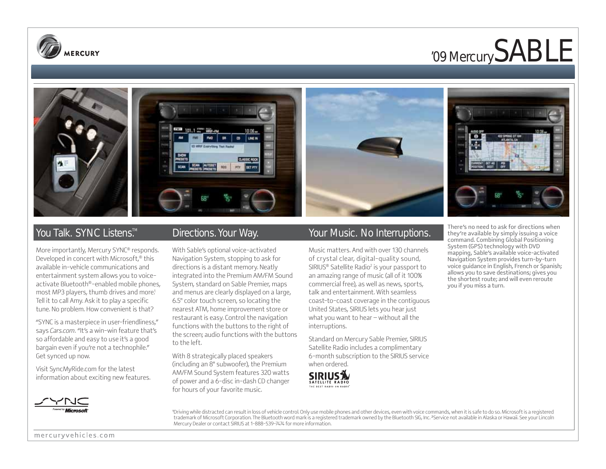

# '09 Mercury SABLE







More importantly, Mercury SYNC® responds. Developed in concert with Microsoft,® this available in-vehicle communications and entertainment system allows you to voiceactivate Bluetooth®-enabled mobile phones, most MP3 players, thumb drives and more.<sup>1</sup> Tell it to call Amy. Ask it to play a specific tune. No problem. How convenient is that?

"SYNC is a masterpiece in user-friendliness," says *Cars.com*. "It's a win-win feature that's so affordable and easy to use it's a good bargain even if you're not a technophile." Get synced up now.

Visit SyncMyRide.com for the latest information about exciting new features.



With Sable's optional voice-activated Navigation System, stopping to ask for directions is a distant memory. Neatly integrated into the Premium AM/FM Sound System, standard on Sable Premier, maps and menus are clearly displayed on a large, 6.5" color touch screen, so locating the nearest ATM, home improvement store or restaurant is easy. Control the navigation functions with the buttons to the right of the screen; audio functions with the buttons to the left.

With 8 strategically placed speakers (including an 8" subwoofer), the Premium AM/FM Sound System features 320 watts of power and a 6-disc in-dash CD changer for hours of your favorite music.

### You Talk. SYNC Listens<sup>™</sup> Directions. Your Way. Your Music. No Interruptions.

Music matters. And with over 130 channels of crystal clear, digital-quality sound, SIRIUS® Satellite Radio<sup>2</sup> is your passport to an amazing range of music (all of it 100% commercial free), as well as news, sports, talk and entertainment. With seamless coast-to-coast coverage in the contiguous United States, SIRIUS lets you hear just what you want to hear – without all the interruptions.

Standard on Mercury Sable Premier, SIRIUS Satellite Radio includes a complimentary 6-month subscription to the SIRIUS service when ordered.





There's no need to ask for directions when they're available by simply issuing a voice command. Combining Global Positioning System (GPS) technology with DVD mapping, Sable's available voice-activated Navigation System provides turn-by-turn voice guidance in English, French or Spanish; allows you to save destinations; gives you the shortest route; and will even reroute you if you miss a turn.

1 Driving while distracted can result in loss of vehicle control. Only use mobile phones and other devices, even with voice commands, when it is safe to do so. Microsoft is a registered trademark of Microsoft Corporation. The Bluetooth word mark is a registered trademark owned by the Bluetooth SIG, Inc. <sup>2</sup> Service not available in Alaska or Hawaii. See your Lincoln Mercury Dealer or contact SIRIUS at 1-888-539-7474 for more information.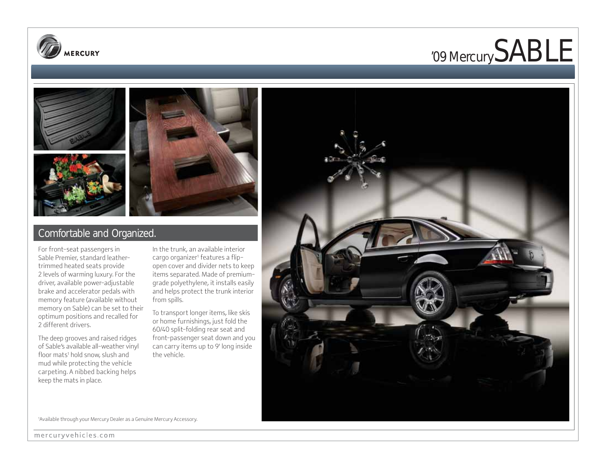





### Comfortable and Organized.

For front-seat passengers in Sable Premier, standard leathertrimmed heated seats provide 2 levels of warming luxury. For the driver, available power-adjustable brake and accelerator pedals with memory feature (available without memory on Sable) can be set to their optimum positions and recalled for 2 different drivers.

The deep grooves and raised ridges of Sable's available all-weather vinyl floor mats<sup>1</sup> hold snow, slush and mud while protecting the vehicle carpeting. A nibbed backing helps keep the mats in place.

In the trunk, an available interior cargo organizer1 features a flipopen cover and divider nets to keep items separated. Made of premiumgrade polyethylene, it installs easily and helps protect the trunk interior from spills.

To transport longer items, like skis or home furnishings, just fold the 60/40 split-folding rear seat and front-passenger seat down and you can carry items up to 9' long inside the vehicle.



1 Available through your Mercury Dealer as a Genuine Mercury Accessory.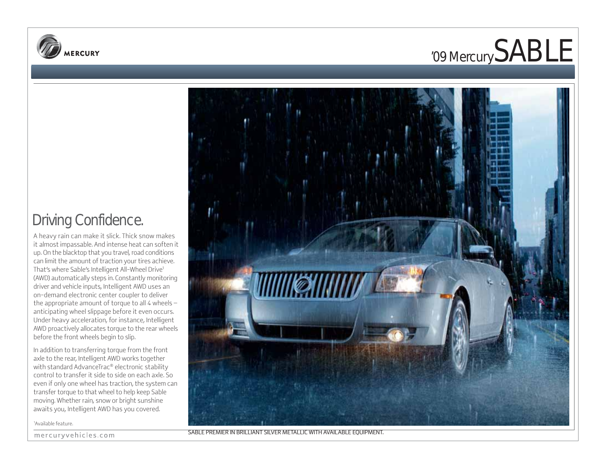



## Driving Confidence.

A heavy rain can make it slick. Thick snow makes it almost impassable. And intense heat can soften it up. On the blacktop that you travel, road conditions can limit the amount of traction your tires achieve. That's where Sable's Intelligent All-Wheel Drive1 (AWD) automatically steps in. Constantly monitoring driver and vehicle inputs, Intelligent AWD uses an on-demand electronic center coupler to deliver the appropriate amount of torque to all 4 wheels  $$ anticipating wheel slippage before it even occurs. Under heavy acceleration, for instance, Intelligent AWD proactively allocates torque to the rear wheels before the front wheels begin to slip.

In addition to transferring torque from the front axle to the rear, Intelligent AWD works together with standard AdvanceTrac® electronic stability control to transfer it side to side on each axle. So even if only one wheel has traction, the system can transfer torque to that wheel to help keep Sable moving. Whether rain, snow or bright sunshine awaits you, Intelligent AWD has you covered.

1 Available feature.





SABLE PREMIER IN BRILLIANT SILVER METALLIC WITH AVAILABLE EQUIPMENT.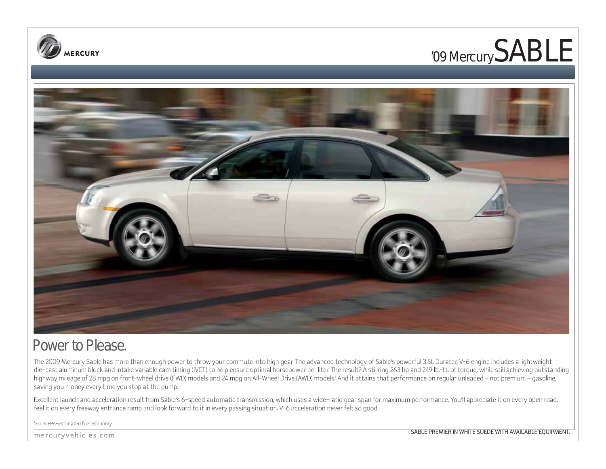





### Power to Please.

The 2009 Mercury Sable has more than enough power to throw your commute into high gear. The advanced technology of Sable's powerful 3.5L Duratec V-6 engine includes a lightweight die-cast aluminum block and intake variable cam timing (iVCT) to help ensure optimal horsepower per liter. The result? A stirring 263 hp and 249 lb.-ft. of torque, while still achieving outstanding highway mileage of 28 mpg on front-wheel drive (FWD) models and 24 mpg on All-Wheel Drive (AWD) models.' And it attains that performance on regular unleaded – not premium – gasoline, saving you money every time you stop at the pump.

Excellent launch and acceleration result from Sable's 6-speed automatic transmission, which uses a wide-ratio gear span for maximum performance. You'll appreciate it on every open road, feel it on every freeway entrance ramp and look forward to it in every passing situation. V-6 acceleration never felt so good.

1 2009 EPA-estimated fuel economy.

mercuryvehicles.com

SABLE PREMIER IN WHITE SUEDE WITH AVAILABLE EQUIPMENT.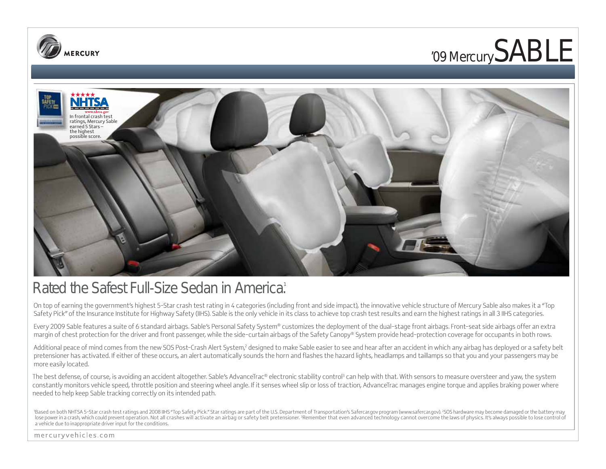





### Rated the Safest Full-Size Sedan in America.<sup>1</sup>

On top of earning the government's highest 5-Star crash test rating in 4 categories (including front and side impact), the innovative vehicle structure of Mercury Sable also makes it a "Top Safety Pick" of the Insurance Institute for Highway Safety (IIHS). Sable is the only vehicle in its class to achieve top crash test results and earn the highest ratings in all 3 IIHS categories.

Every 2009 Sable features a suite of 6 standard airbags. Sable's Personal Safety System® customizes the deployment of the dual-stage front airbags. Front-seat side airbags offer an extra margin of chest protection for the driver and front passenger, while the side-curtain airbags of the Safety Canopy® System provide head-protection coverage for occupants in both rows.

Additional peace of mind comes from the new SOS Post-Crash Alert System,<sup>2</sup> designed to make Sable easier to see and hear after an accident in which any airbag has deployed or a safety belt pretensioner has activated. If either of these occurs, an alert automatically sounds the horn and flashes the hazard lights, headlamps and taillamps so that you and your passengers may be more easily located.

The best defense, of course, is avoiding an accident altogether. Sable's AdvanceTrac® electronic stability control $^3$  can help with that. With sensors to measure oversteer and yaw, the system constantly monitors vehicle speed, throttle position and steering wheel angle. If it senses wheel slip or loss of traction, AdvanceTrac manages engine torque and applies braking power where needed to help keep Sable tracking correctly on its intended path.

'Based on both NHTSA 5-Star crash test ratings and 2008 IIHS "Top Safety Pick." Star ratings are part of the U.S. Department of Transportation's Safercar.gov program (www.safercar.gov). <sup>2</sup>SOS hardware may become damaged o lose power in a crash, which could prevent operation. Not all crashes will activate an airbag or safety belt pretensioner. 3Remember that even advanced technology cannot overcome the laws of physics. It's always possible t a vehicle due to inappropriate driver input for the conditions.

mercuryvehicles.com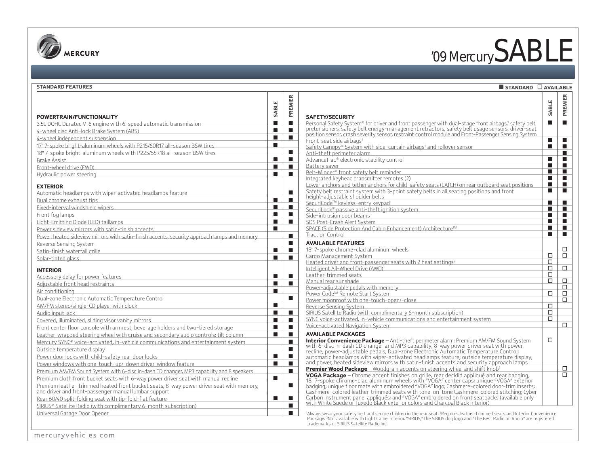

# '09 Mercury SABLE

**STANDARD AVAILABLE**

#### **STANDARD FEATURES**

| POWERTRAIN/FUNCTIONALITY                                                                                                                                                                                                       | PREMIER<br>SABLE                                                   |
|--------------------------------------------------------------------------------------------------------------------------------------------------------------------------------------------------------------------------------|--------------------------------------------------------------------|
| 3.5L DOHC Duratec V-6 engine with 6-speed automatic transmission                                                                                                                                                               | <b>SAFETY/S</b><br>ш<br>Personal Sa<br>$\blacksquare$              |
| 4-wheel disc Anti-lock Brake System (ABS)                                                                                                                                                                                      | pretension<br>П<br>П                                               |
|                                                                                                                                                                                                                                | position ser<br>П<br>п                                             |
| 4-wheel independent suspension                                                                                                                                                                                                 | Front-seat                                                         |
| 17" 7-spoke bright-aluminum wheels with P215/60R17 all-season BSW tires                                                                                                                                                        | П<br>Safety Can                                                    |
| 18" 7-spoke bright-aluminum wheels with P225/55R18 all-season BSW tires                                                                                                                                                        | п<br>Anti-theft                                                    |
| Brake Assist                                                                                                                                                                                                                   | П<br>$\blacksquare$<br>AdvanceTra                                  |
| Front-wheel drive (FWD)                                                                                                                                                                                                        | Battery sa<br>П<br>$\blacksquare$                                  |
| Hydraulic power steering                                                                                                                                                                                                       | Belt-Minde<br>$\blacksquare$<br>П                                  |
|                                                                                                                                                                                                                                | Integrated                                                         |
| <b>EXTERIOR</b>                                                                                                                                                                                                                | Lower anch                                                         |
| Automatic headlamps with wiper-activated headlamps feature                                                                                                                                                                     | Safety belt<br>■<br><u>height-adjı</u>                             |
| Dual chrome exhaust tips                                                                                                                                                                                                       | П<br>ш<br>SecuriCode                                               |
| Fixed-interval windshield wipers Manual Allen and Manual Allen and Manual Allen and Manual Allen and                                                                                                                           | П<br>■<br>SecuriLock                                               |
| Front fog lamps                                                                                                                                                                                                                | П<br>п<br>Side-intrus                                              |
|                                                                                                                                                                                                                                | П<br>П<br>SOS Post-0                                               |
| Power sideview mirrors with satin-finish accents                                                                                                                                                                               | <b>SPACE (Side</b><br>П                                            |
| Power, heated sideview mirrors with satin-finish accents, security approach lamps and memory                                                                                                                                   | <b>Traction Co</b><br>п                                            |
| Reverse Sensing System <b>Example 2018</b> Reverse Sensing System                                                                                                                                                              | <b>AVAILABL</b><br>■                                               |
| Satin-finish waterfall grille                                                                                                                                                                                                  | 18" 7-spok<br>П<br>ш                                               |
|                                                                                                                                                                                                                                | Cargo Man<br>$\blacksquare$<br>ш                                   |
| Solar-tinted glass                                                                                                                                                                                                             | Heated driv                                                        |
| <b>INTERIOR</b>                                                                                                                                                                                                                | Intelligent                                                        |
| Accessory delay for power features                                                                                                                                                                                             | Leather-tri<br>П<br>п                                              |
| Adjustable front head restraints Adjustable control and the set of the set of the set of the set of the set of                                                                                                                 | Manual rea<br>П<br>п                                               |
| Air conditioning                                                                                                                                                                                                               | Power-adju<br>П                                                    |
| Dual-zone Electronic Automatic Temperature Control Changer Constant Control                                                                                                                                                    | Power Cod<br>п                                                     |
|                                                                                                                                                                                                                                | Power mod                                                          |
| AM/FM stereo/single-CD player with clock AM/FM stereously and the stereously and the stereously and the stereously and the stereously and the stereously and the stereously and the stereously and the stereously and the ster | $\blacksquare$<br>Reverse Se                                       |
| Audio input jack                                                                                                                                                                                                               | $\blacksquare$<br>$\blacksquare$<br>SIRIUS Sate                    |
| Covered, illuminated, sliding visor vanity mirrors                                                                                                                                                                             | <b>SYNC</b> voice<br>$\blacksquare$<br>п                           |
| Front center floor console with armrest, beverage holders and two-tiered storage                                                                                                                                               | Voice-activ<br>П<br>п                                              |
| Leather-wrapped steering wheel with cruise and secondary audio controls; tilt column                                                                                                                                           | <b>AVAILABL</b><br>П<br>ш                                          |
| Mercury SYNC® voice-activated, in-vehicle communications and entertainment system                                                                                                                                              | <b>Interior Co</b><br>п                                            |
| Outside temperature display                                                                                                                                                                                                    | with 6-dis<br>П<br>recline; po                                     |
| Power door locks with child-safety rear door locks                                                                                                                                                                             | П<br>$\blacksquare$<br>automatic                                   |
| Power windows with one-touch-up/-down driver-window feature                                                                                                                                                                    | <u>and power</u><br>П<br>п                                         |
| Premium AM/FM Sound System with 6-disc in-dash CD changer, MP3 capability and 8 speakers                                                                                                                                       | <b>Premier W</b><br>п                                              |
| Premium cloth front bucket seats with 6-way power driver seat with manual recline                                                                                                                                              | <b>VOGA Pad</b><br>$\blacksquare$                                  |
| Premium leather-trimmed heated front bucket seats, 8-way power driver seat with memory,                                                                                                                                        | 18" 7-spok<br>$\blacksquare$                                       |
| and driver and front-passenger manual lumbar support                                                                                                                                                                           | badging; ur<br>Cashmere-                                           |
| Rear 60/40 split-folding seat with tip-fold-flat feature                                                                                                                                                                       | Carbon ins<br>$\blacksquare$<br>п                                  |
|                                                                                                                                                                                                                                | with White<br>П                                                    |
| SIRIUS® Satellite Radio (with complimentary 6-month subscription)                                                                                                                                                              | ■                                                                  |
| Universal Garage Door Opener                                                                                                                                                                                                   | <sup>1</sup> Always wear<br>Package. <sup>3</sup> No<br>trademarks |

⊤ ┱

| <b>SAFETY/SECURITY</b>                                                                                                                                                                                | SABLE          | PREMIER                     |
|-------------------------------------------------------------------------------------------------------------------------------------------------------------------------------------------------------|----------------|-----------------------------|
| Personal Safety System® for driver and front passenger with dual-stage front airbags,1 safety belt<br>pretensioners, safety belt energy-management retractors, safety belt usage sensors, driver-seat | $\blacksquare$ |                             |
| position sensor, crash severity sensor, restraint control module and Front-Passenger Sensing System<br>Front-seat side airbags <sup>1</sup>                                                           | $\blacksquare$ | ш                           |
| Safety Canopy® System with side-curtain airbags <sup>1</sup> and rollover sensor                                                                                                                      | ■              | $\blacksquare$              |
| Anti-theft perimeter alarm                                                                                                                                                                            |                | $\blacksquare$              |
| AdvanceTrac® electronic stability control                                                                                                                                                             | ■              | <b>In the Second Second</b> |
| Battery saver                                                                                                                                                                                         | ■              | ø                           |
| Belt-Minder® front safety belt reminder                                                                                                                                                               |                |                             |
| Integrated keyhead transmitter remotes (2)                                                                                                                                                            | $\blacksquare$ |                             |
| Lower anchors and tether anchors for child-safety seats (LATCH) on rear outboard seat positions<br>Safety belt restraint system with 3-point safety belts in all seating positions and front          | ■<br>П         | $\blacksquare$<br>П         |
| height-adjustable shoulder belts<br>SecuriCode™ keyless-entry keypad                                                                                                                                  | ■              | П                           |
| SecuriLock <sup>®</sup> passive anti-theft ignition system                                                                                                                                            | ■              | $\blacksquare$              |
| Side-intrusion door beams                                                                                                                                                                             | ■              | <b>In the Second Second</b> |
| SOS Post-Crash Alert System                                                                                                                                                                           | ■              | B                           |
| SPACE (Side Protection And Cabin Enhancement) Architecture™                                                                                                                                           | $\blacksquare$ |                             |
| <b>Traction Control</b>                                                                                                                                                                               | $\blacksquare$ |                             |
|                                                                                                                                                                                                       |                |                             |
| <b>AVAILABLE FEATURES</b>                                                                                                                                                                             |                |                             |
| 18" 7-spoke chrome-clad aluminum wheels.                                                                                                                                                              | П              | □<br>п                      |
| Cargo Management System                                                                                                                                                                               | о              |                             |
| Heated driver and front-passenger seats with 2 heat settings <sup>2</sup>                                                                                                                             | П              | п                           |
| Intelligent All-Wheel Drive (AWD)                                                                                                                                                                     | □              |                             |
| Leather-trimmed seats<br>Manual rear sunshade                                                                                                                                                         | $\Box$         | □                           |
| Power-adjustable pedals with memory                                                                                                                                                                   |                | п                           |
|                                                                                                                                                                                                       | п              | □                           |
| Power Code™ Remote Start System<br>Power moonroof with one-touch-open/-close                                                                                                                          |                | п                           |
|                                                                                                                                                                                                       | П              |                             |
| Reverse Sensing System<br>SIRIUS Satellite Radio (with complimentary 6-month subscription)                                                                                                            | □              |                             |
| SYNC voice-activated, in-vehicle communications and entertainment system                                                                                                                              | п              |                             |
| Voice-activated Navigation System                                                                                                                                                                     |                | □                           |
|                                                                                                                                                                                                       |                |                             |
| <b>AVAILABLE PACKAGES</b>                                                                                                                                                                             |                |                             |
| <b>Interior Convenience Package</b> - Anti-theft perimeter alarm; Premium AM/FM Sound System                                                                                                          | □              |                             |
| with 6-disc in-dash CD changer and MP3 capability; 8-way power driver seat with power<br>recline; power-adjustable pedals; Dual-zone Electronic Automatic Temperature Control;                        |                |                             |
| automatic headlamps with wiper-activated headlamps feature; outside temperature display;                                                                                                              |                |                             |
| and power, heated sideview mirrors with satin-finish accents and security approach lamps                                                                                                              |                |                             |
| <b>Premier Wood Package</b> – Woodgrain accents on steering wheel and shift knob <sup>3</sup>                                                                                                         |                | □                           |
| <b>VOGA Package</b> – Chrome accent finishes on grille, rear decklid appliqué and rear badging;                                                                                                       |                | □                           |
| 18" 7-spoke chrome-clad aluminum wheels with "VOGA" center caps; unique "VOGA" exterior                                                                                                               |                |                             |
| badging; unique floor mats with embroidered "VOGA" logo; Cashmere-colored door-trim inserts;                                                                                                          |                |                             |
| Cashmere-colored leather-trimmed seats with tone-on-tone Cashmere-colored stitching; Cyber                                                                                                            |                |                             |
| Carbon instrument panel appliqués; and "VOGA" embroidered on front seatbacks (available only                                                                                                          |                |                             |
| with White Suede or Tuxedo Black exterior colors and Charcoal Black interior)                                                                                                                         |                |                             |

'Always wear your safety belt and secure children in the rear seat. 'Requires leather-trimmed seats and Interior Convenience<br>Package. 'Not available with Light Camel interior. "SIRIUS," the SIRIUS dog logo and "The Best Ra

mercuryvehicles.com